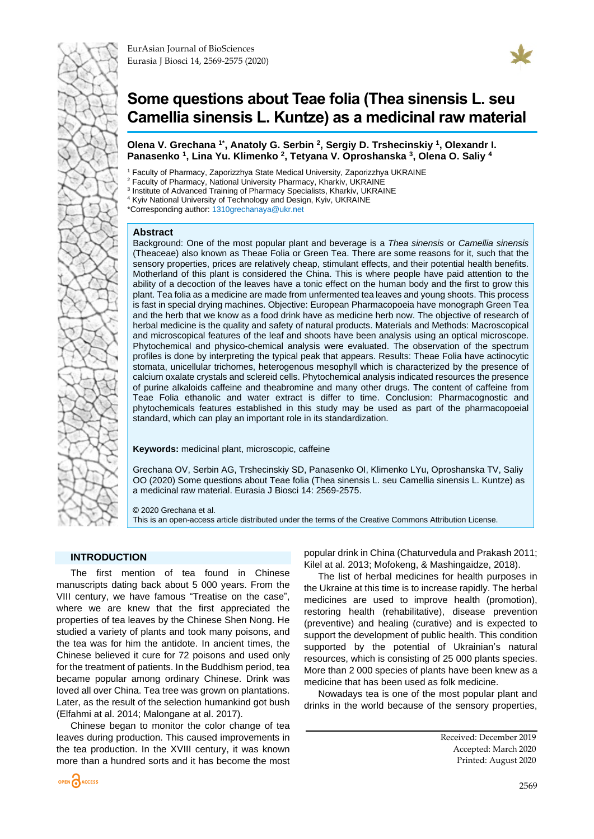



# <span id="page-0-0"></span>**Some questions about Teae folia (Thea sinensis L. seu Camellia sinensis L. Kuntze) as а medicinal raw material**

**Оlena V. Grechana 1\* , Anatoly G. Serbin <sup>2</sup> , Sergiy D. Trshecinskiy <sup>1</sup> , Olexandr I. Panasenko <sup>1</sup> , Lina Yu. Klimenko <sup>2</sup> , Tetyana V. Oproshanska <sup>3</sup> , Olena O. Saliy <sup>4</sup>**

Faculty of Pharmacy, Zaporizzhya State Medical University, Zaporizzhya UKRAINE

<sup>2</sup> Faculty of Pharmacy, National University Pharmacy, Kharkiv, UKRAINE

<sup>3</sup> Institute of Advanced Training of Pharmacy Specialists, Kharkiv, UKRAINE

<sup>4</sup> Kyiv National University of Technology and Design, Kyiv, UKRAINE

\*Corresponding author: [1310grechanaya@ukr.net](mailto:1310grechanaya@ukr.net)

#### **Abstract**

Background: One of the most popular plant and beverage is a *Thea sinensis* or *Camellia sinensis* (Theaceae) also known as Theae Folia or Green Tea. There are some reasons for it, such that the sensory properties, prices are relatively cheap, stimulant effects, and their potential health benefits. Motherland of this plant is considered the China. This is where people have paid attention to the ability of a decoction of the leaves have a tonic effect on the human body and the first to grow this plant. Tea folia as a medicine are made from unfermented tea leaves and young shoots. This process is fast in special drying machines. Objective: European Pharmacopoeia have monograph Green Tea and the herb that we know as a food drink have as medicine herb now. The objective of research of herbal medicine is the quality and safety of natural products. Materials and Methods: Macroscopical and microscopical features of the leaf and shoots have been analysis using an optical microscope. Phytochemical and physico-chemical analysis were evaluated. The observation of the spectrum profiles is done by interpreting the typical peak that appears. Results: Theae Folia have actinocytic stomata, unicellular trichomes, heterogenous mesophyll which is characterized by the presence of calcium oxalate crystals and sclereid cells. Phytochemical analysis indicated resources the presence of purine alkaloids caffeine and theabromine and many other drugs. The content of caffeine from Teae Folia ethanolic and water extract is differ to time. Conclusion: Pharmacognostic and phytochemicals features established in this study may be used as part of the pharmacopoeial standard, which can play an important role in its standardization.

**Keywords:** medicinal plant, microscopic, caffeine

Grechana OV, Serbin AG, Trshecinskiy SD, Panasenko OI, Klimenko LYu, Oproshanska TV, Saliy OO (2020) Some questions about Teae folia (Thea sinensis L. seu Camellia sinensis L. Kuntze) as а medicinal raw material. Eurasia J Biosci 14: [2569](#page-0-0)[-2575.](#page-6-0)

© 2020 Grechana et al. This is an open-access article distributed under the terms of the Creative Commons Attribution License.

### **INTRODUCTION**

The first mention of tea found in Chinese manuscripts dating back about 5 000 years. From the VIII century, we have famous "Treatise on the case", where we are knew that the first appreciated the properties of tea leaves by the Chinese Shen Nong. He studied a variety of plants and took many poisons, and the tea was for him the antidote. In ancient times, the Chinese believed it cure for 72 poisons and used only for the treatment of patients. In the Buddhism period, tea became popular among ordinary Chinese. Drink was loved all over China. Tea tree was grown on plantations. Later, as the result of the selection humankind got bush (Elfahmi at al. 2014; Malongane at al. 2017).

Chinese began to monitor the color change of tea leaves during production. This caused improvements in the tea production. In the XVIII century, it was known more than a hundred sorts and it has become the most

popular drink in China (Chaturvedula and Prakash 2011; Kilel at al. 2013; Mofokeng, & Mashingaidze, 2018).

The list of herbal medicines for health purposes in the Ukraine at this time is to increase rapidly. The herbal medicines are used to improve health (promotion), restoring health (rehabilitative), disease prevention (preventive) and healing (curative) and is expected to support the development of public health. This condition supported by the potential of Ukrainian's natural resources, which is consisting of 25 000 plants species. More than 2 000 species of plants have been knew as a medicine that has been used as folk medicine.

Nowadays tea is one of the most popular plant and drinks in the world because of the sensory properties,

> Received: December 2019 Accepted: March 2020 Printed: August 2020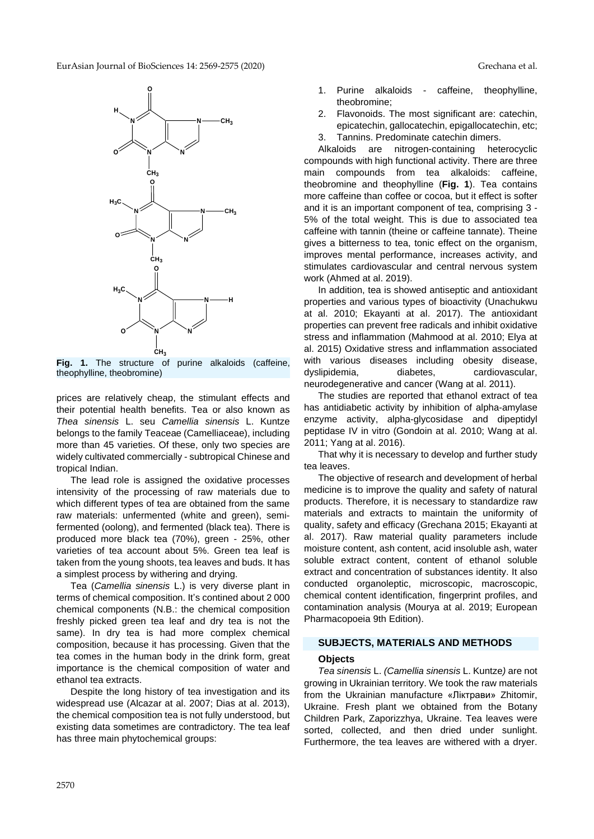

**Fig. 1.** The structure of purine alkaloids (caffeine, theophylline, theobromine)

prices are relatively cheap, the stimulant effects and their potential health benefits. Tea or also known as *Thea sinensis* L. seu *Camellia sinensis* L. Kuntze belongs to the family Teaceae (Camelliaceae), including more than 45 varieties. Of these, only two species are widely cultivated commercially - subtropical Chinese and tropical Indian.

The lead role is assigned the oxidative processes intensivity of the processing of raw materials due to which different types of tea are obtained from the same raw materials: unfermented (white and green), semifermented (oolong), and fermented (black tea). There is produced more black tea (70%), green - 25%, other varieties of tea account about 5%. Green tea leaf is taken from the young shoots, tea leaves and buds. It has a simplest process by withering and drying.

Tea (*Camellia sinensis* L.) is very diverse plant in terms of chemical composition. It's contined about 2 000 chemical components (N.B.: the chemical composition freshly picked green tea leaf and dry tea is not the same). In dry tea is had more complex chemical composition, because it has processing. Given that the tea comes in the human body in the drink form, great importance is the chemical composition of water and ethanol tea extracts.

Despite the long history of tea investigation and its widespread use (Alcazar at al. 2007; Dias at al. 2013), the chemical composition tea is not fully understood, but existing data sometimes are contradictory. The tea leaf has three main phytochemical groups:

- 1. Purine alkaloids caffeine, theophylline, theobromine;
- 2. Flavonoids. The most significant are: catechin, epicatechin, gallocatechin, epigallocatechin, etc; 3. Tannins. Predominate catechin dimers.

Alkaloids are nitrogen-containing heterocyclic compounds with high functional activity. There are three main compounds from tea alkaloids: caffeine, theobromine and theophylline (**Fig. 1**). Tea contains more caffeine than coffee or cocoa, but it effect is softer and it is an important component of tea, comprising 3 - 5% of the total weight. This is due to associated tea caffeine with tannin (theine or caffeine tannate). Theine gives a bitterness to tea, tonic effect on the organism, improves mental performance, increases activity, and stimulates cardiovascular and central nervous system work (Ahmed at al. 2019).

In addition, tea is showed antiseptic and antioxidant properties and various types of bioactivity (Unachukwu at al. 2010; Ekayanti at al. 2017). The antioxidant properties can prevent free radicals and inhibit oxidative stress and inflammation (Mahmood at al. 2010; Elya at al. 2015) Oxidative stress and inflammation associated with various diseases including obesity disease, dyslipidemia, diabetes, cardiovascular, neurodegenerative and cancer (Wang at al. 2011).

The studies are reported that ethanol extract of tea has antidiabetic activity by inhibition of alpha-amylase enzyme activity, alpha-glycosidase and dipeptidyl peptidase IV in vitro (Gondoin at al. 2010; Wang at al. 2011; Yang at al. 2016).

That why it is necessary to develop and further study tea leaves.

The objective of research and development of herbal medicine is to improve the quality and safety of natural products. Therefore, it is necessary to standardize raw materials and extracts to maintain the uniformity of quality, safety and efficacy (Grechana 2015; Ekayanti at al. 2017). Raw material quality parameters include moisture content, ash content, acid insoluble ash, water soluble extract content, content of ethanol soluble extract and concentration of substances identity. It also conducted organoleptic, microscopic, macroscopic, chemical content identification, fingerprint profiles, and contamination analysis (Mourya at al. 2019; European Pharmacopoeia 9th Edition).

### **SUBJECTS, MATERIALS AND METHODS**

### **Objects**

*Tea sinensis* L. *(Camellia sinensis* L. Kuntze*)* are not growing in Ukrainian territory. We took the raw materials from the Ukrainian manufacture «Ліктрави» Zhitomir, Ukraine. Fresh plant we obtained from the Botany Children Park, Zaporizzhya, Ukraine. Tea leaves were sorted, collected, and then dried under sunlight. Furthermore, the tea leaves are withered with a dryer.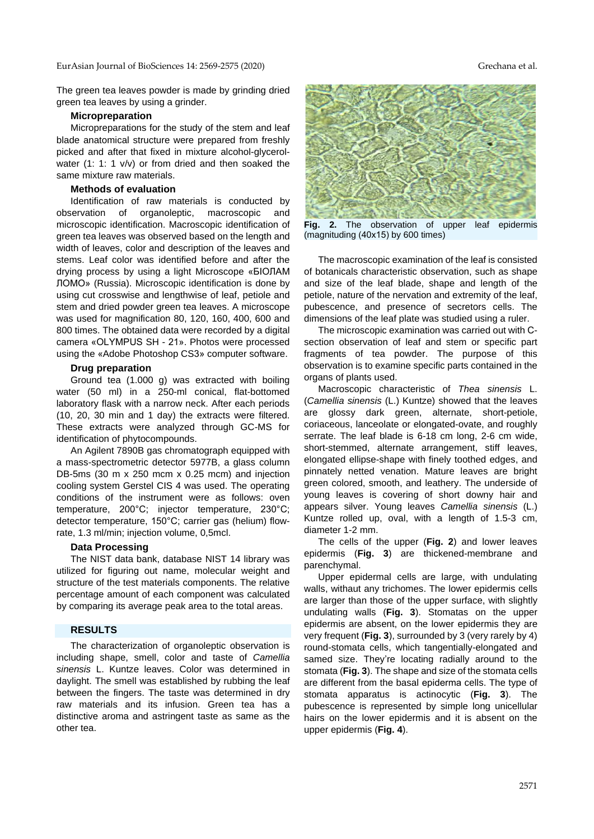The green tea leaves powder is made by grinding dried green tea leaves by using a grinder.

#### **Micropreparation**

Micropreparations for the study of the stem and leaf blade anatomical structure were prepared from freshly picked and after that fixed in mixture alcohol-glycerolwater (1: 1: 1 v/v) or from dried and then soaked the same mixture raw materials.

#### **Methods of evaluation**

Identification of raw materials is conducted by observation of organoleptic, macroscopic and microscopic identification. Macroscopic identification of green tea leaves was observed based on the length and width of leaves, color and description of the leaves and stems. Leaf color was identified before and after the drying process by using a light Microscope «БІОЛАМ ЛОМО» (Russia). Microscopic identification is done by using cut crosswise and lengthwise of leaf, petiole and stem and dried powder green tea leaves. A microscope was used for magnification 80, 120, 160, 400, 600 and 800 times. The obtained data were recorded by a digital camera «OLYMPUS SH - 21». Photos were processed using the «Adobe Photoshop CS3» computer software.

#### **Drug preparation**

Ground tea (1.000 g) was extracted with boiling water (50 ml) in a 250-ml conical, flat-bottomed laboratory flask with a narrow neck. After each periods (10, 20, 30 min and 1 day) the extracts were filtered. These extracts were analyzed through GC-MS for identification of phytocompounds.

An Agilent 7890B gas chromatograph equipped with a mass-spectrometric detector 5977B, a glass column DB-5ms (30 m x 250 mcm x 0.25 mcm) and injection cooling system Gerstel CIS 4 was used. The operating conditions of the instrument were as follows: oven temperature, 200°C; injector temperature, 230°C; detector temperature, 150°C; carrier gas (helium) flowrate, 1.3 ml/min; injection volume, 0,5mcl.

#### **Data Processing**

The NIST data bank, database NIST 14 library was utilized for figuring out name, molecular weight and structure of the test materials components. The relative percentage amount of each component was calculated by comparing its average peak area to the total areas.

### **RESULTS**

The characterization of organoleptic observation is including shape, smell, color and taste of *Camellia sinensis* L. Kuntze leaves. Color was determined in daylight. The smell was established by rubbing the leaf between the fingers. The taste was determined in dry raw materials and its infusion. Green tea has a distinctive aroma and astringent taste as same as the other tea.



**Fig. 2.** The observation of upper leaf epidermis (magnituding (40х15) by 600 times)

The macroscopic examination of the leaf is consisted of botanicals characteristic observation, such as shape and size of the leaf blade, shape and length of the petiole, nature of the nervation and extremity of the leaf, pubescence, and presence of secretors cells. The dimensions of the leaf plate was studied using a ruler.

The microscopic examination was carried out with Csection observation of leaf and stem or specific part fragments of tea powder. The purpose of this observation is to examine specific parts contained in the organs of plants used.

Macroscopic characteristic of *Thea sinensis* L. (*Camellia sinensis* (L.) Kuntze) showed that the leaves are glossy dark green, alternate, short-petiole, coriaceous, lanceolate or elongated-ovate, and roughly serrate. The leaf blade is 6-18 cm long, 2-6 cm wide, short-stemmed, alternate arrangement, stiff leaves, elongated ellipse-shape with finely toothed edges, and pinnately netted venation. Mature leaves are bright green colored, smooth, and leathery. The underside of young leaves is covering of short downy hair and appears silver. Young leaves *Camellia sinensis* (L.) Kuntze rolled up, oval, with a length of 1.5-3 cm, diameter 1-2 mm.

The cells of the upper (**Fig. 2**) and lower leaves epidermis (**Fig. 3**) are thickened-membrane and parenchymal.

Upper epidermal cells are large, with undulating walls, withaut any trichomes. The lower epidermis cells are larger than those of the upper surface, with slightly undulating walls (**Fig. 3**). Stomatas on the upper epidermis are absent, on the lower epidermis they are very frequent (**Fig. 3**), surrounded by 3 (very rarely by 4) round-stomata cells, which tangentially-elongated and samed size. They're locating radially around to the stomata (**Fig. 3**). The shape and size of the stomata cells are different from the basal epidermа cells. The type of stomata apparatus is actinocytic (**Fig. 3**). The pubescence is represented by simple long unicellular hairs on the lower epidermis and it is absent on the upper epidermis (**Fig. 4**).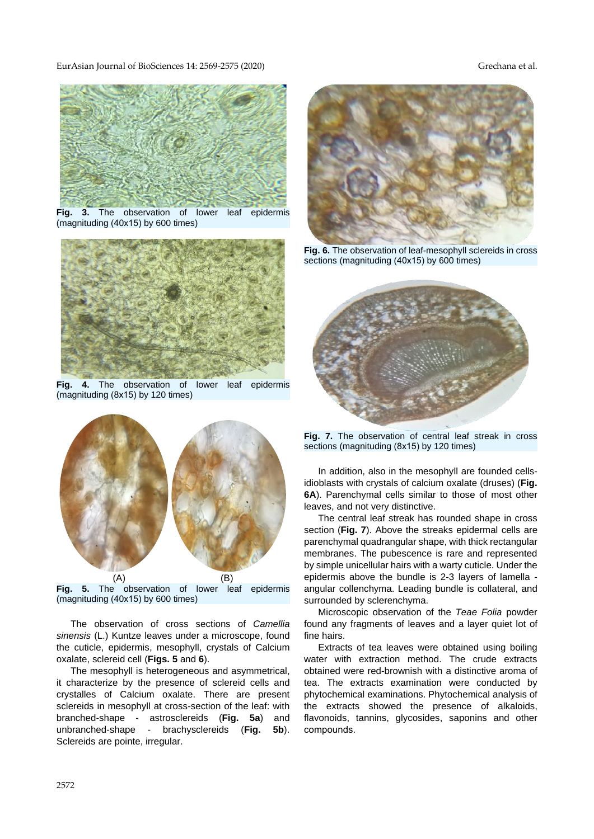

**Fig. 3.** The observation of lower leaf epidermis (magnituding (40х15) by 600 times)



**Fig. 4.** The observation of lower leaf epidermis (magnituding (8х15) by 120 times)



**Fig. 5.** The observation of lower leaf epidermis (magnituding (40х15) by 600 times)

The observation of cross sections of *Camellia sinensis* (L.) Kuntze leaves under a microscope, found the cuticle, epidermis, mesophyll, crystals of Calcium oxalate, sclereid cell (**Figs. 5** and **6**).

The mesophyll is heterogeneous and asymmetrical, it characterize by the presence of sclereid cells and crystalles of Calcium oxalate. There are present sclereids in mesophyll at cross-section of the leaf: with branched-shape - astrosclereids (**Fig. 5a**) and unbranched-shape - brachysclereids (**Fig. 5b**). Sclereids are pointe, irregular.



**Fig. 6.** The observation of leaf-mesophyll sclereids in cross sections (magnituding (40x15) by 600 times)



**Fig. 7.** The observation of central leaf streak in cross sections (magnituding (8x15) by 120 times)

In addition, also in the mesophyll are founded cellsidioblasts with crystals of calcium oxalate (druses) (**Fig. 6A**). Parenchymal cells similar to those of most other leaves, and not very distinctive.

The central leaf streak has rounded shape in cross section (**Fig. 7**). Above the streaks epidermal cells are parenchymal quadrangular shape, with thick rectangular membranes. The pubescence is rare and represented by simple unicellular hairs with a warty cuticle. Under the epidermis above the bundle is 2-3 layers of lamella angular collenchyma. Leading bundle is collateral, and surrounded by sclerenchyma.

Microscopic observation of the *Teae Folia* powder found any fragments of leaves and a layer quiet lot of fine hairs.

Extracts of tea leaves were obtained using boiling water with extraction method. The crude extracts obtained were red-brownish with a distinctive aroma of tea. The extracts examination were conducted by phytochemical examinations. Phytochemical analysis of the extracts showed the presence of alkaloids, flavonoids, tannins, glycosides, saponins and other comрounds.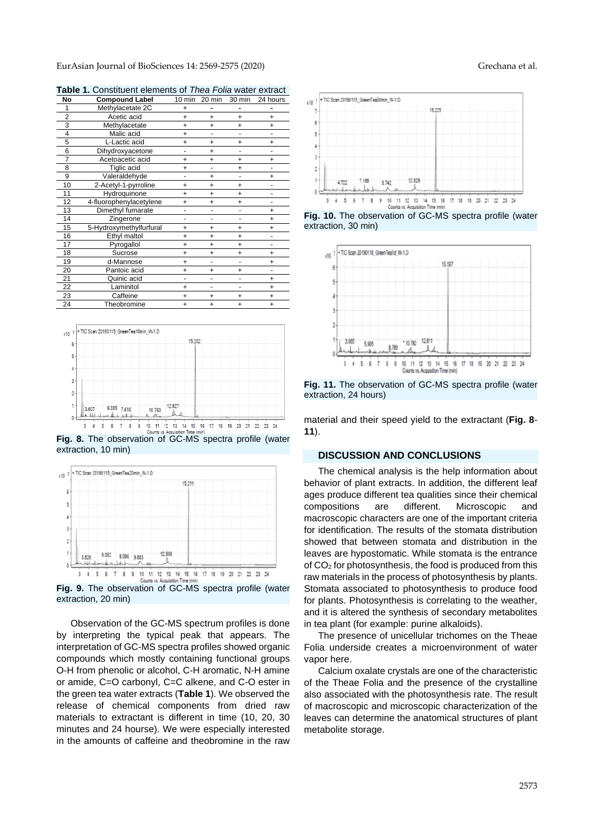| No | <b>Compound Label</b>   | 10 min    | 20 min    | 30 min    | 24 hours  |
|----|-------------------------|-----------|-----------|-----------|-----------|
| 1  | Methylacetate 2C        | $\ddot{}$ |           |           |           |
| 2  | Acetic acid             | $\ddot{}$ | $\ddot{}$ | $\ddot{}$ | $\ddot{}$ |
| 3  | Methylacetate           | $\ddot{}$ | $\ddot{}$ | +         | +         |
| 4  | Malic acid              | $\ddot{}$ |           |           |           |
| 5  | L-Lactic acid           | $\ddot{}$ | $\ddot{}$ | $\ddot{}$ | $\ddot{}$ |
| 6  | Dihydroxyacetone        |           | $\ddot{}$ |           |           |
| 7  | Acetoacetic acid        | $\ddot{}$ | $\ddot{}$ | $\ddot{}$ | $\ddot{}$ |
| 8  | Tiglic acid             | $\ddot{}$ | ۰         | $\ddot{}$ |           |
| 9  | Valeraldehyde           |           | $\ddot{}$ | -         | $\ddot{}$ |
| 10 | 2-Acetyl-1-pyrroline    | $\ddot{}$ | $\ddot{}$ | $\ddot{}$ |           |
| 11 | Hydroquinone            | $\ddot{}$ | $\ddot{}$ | $\ddot{}$ |           |
| 12 | 4-fluorophenylacetylene | +         | $\ddot{}$ | $\ddot{}$ | -         |
| 13 | Dimethyl fumarate       | -         |           | ۰         | $\ddot{}$ |
| 14 | Zingerone               | ۰         | -         | -         | $\ddot{}$ |
| 15 | 5-Hydroxymethylfurfural | +         | +         | +         | +         |
| 16 | Ethyl maltol            | $\ddot{}$ | $\ddot{}$ | $\ddot{}$ |           |
| 17 | Pyrogallol              | +         | +         | $\ddot{}$ | ۰         |
| 18 | Sucrose                 | $\ddot{}$ | $\ddot{}$ | $\ddot{}$ | $\ddot{}$ |
| 19 | d-Mannose               | $\ddot{}$ | ۰         | -         | $\ddot{}$ |
| 20 | Pantoic acid            | $\ddot{}$ | $\ddot{}$ | $\ddot{}$ |           |
| 21 | Quinic acid             |           | ٠         | ۰         | $\ddot{}$ |
| 22 | Laminitol               | $\ddot{}$ | ٠         |           | $\ddot{}$ |
| 23 | Caffeine                | +         | +         | $\ddot{}$ | $\ddot{}$ |
| 24 | Theobromine             | $\ddot{}$ | $\ddot{}$ | $\ddot{}$ | $\ddot{}$ |

**Table 1.** Constituent elements of *Thea Folia* water extract



**Fig. 8.** The observation of GC-MS spectra profile (water extraction, 10 min)



**Fig. 9.** The observation of GC-MS spectra profile (water extraction, 20 min)

Observation of the GC-MS spectrum profiles is done by interpreting the typical peak that appears. The interpretation of GC-MS spectra profiles showed organic compounds which mostly containing functional groups O-H from phenolic or alcohol, C-H aromatic, N-H amine or amide, C=O carbonyl, C=C alkene, and C-O ester in the green tea water extracts (**Table 1**). We observed the release of chemical components from dried raw materials to extractant is different in time (10, 20, 30 minutes and 24 hourse). We were especially interested in the amounts of caffeine and theobromine in the raw



**Fig. 10.** The observation of GC-MS spectra profile (water extraction, 30 min)



**Fig. 11.** The observation of GC-MS spectra profile (water extraction, 24 hours)

material and their speed yield to the extractant (**Fig. 8**- **11**).

#### **DISCUSSION AND CONCLUSIONS**

The chemical analysis is the help information about behavior of plant extracts. In addition, the different leaf ages produce different tea qualities since their chemical compositions are different. Microscopic and macroscopic characters are one of the important criteria for identification. The results of the stomata distribution showed that between stomata and distribution in the leaves are hypostomatic. While stomata is the entrance of CO<sup>2</sup> for photosynthesis, the food is produced from this raw materials in the process of photosynthesis by plants. Stomata associated to photosynthesis to produce food for plants. Photosynthesis is correlating to the weather, and it is altered the synthesis of secondary metabolites in tea plant (for example: purine alkaloids).

The presence of unicellular trichomes on the Theae Folia underside creates a microenvironment of water vapor here.

Calcium oxalate crystals are one of the characteristic of the Theae Folia and the presence of the crystalline also associated with the photosynthesis rate. The result of macroscopic and microscopic characterization of the leaves can determine the anatomical structures of plant metabolite storage.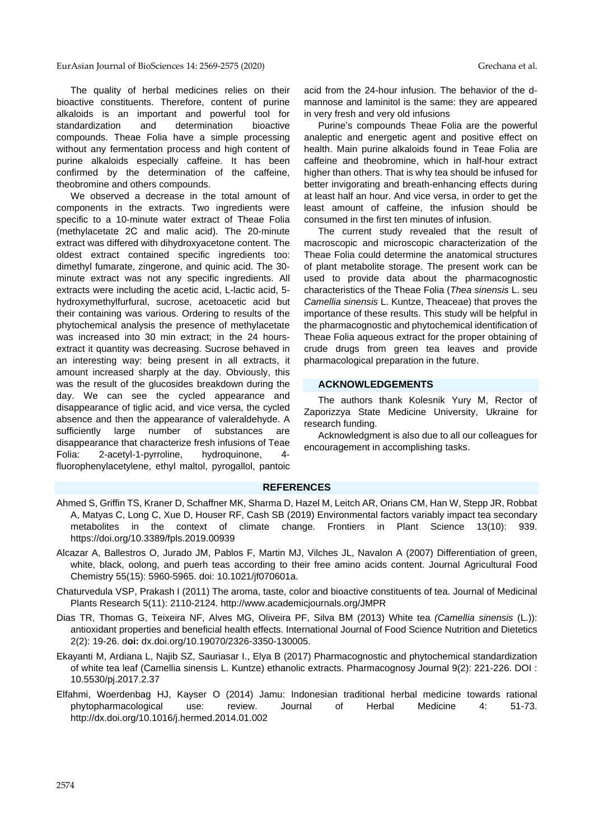The quality of herbal medicines relies on their bioactive constituents. Therefore, content of purine alkaloids is an important and powerful tool for standardization and determination bioactive compounds. Theae Folia have a simple processing without any fermentation process and high content of purine alkaloids especially caffeine. It has been confirmed by the determination of the caffeine, theobromine and others compounds.

We observed a decrease in the total amount of components in the extracts. Two ingredients were specific to a 10-minute water extract of Theae Folia (methylacetate 2С and malic acid). The 20-minute extract was differed with dihydroxyacetone content. The oldest extract contained specific ingredients too: dimethyl fumarate, zingerone, and quinic acid. The 30 minute extract was not any specific ingredients. All extracts were including the acetic acid, L-lactic acid, 5 hydroxymethylfurfural, sucrose, acetoacetic acid but their containing was various. Ordering to results of the phytochemical analysis the presence of methylacetate was increased into 30 min extract; in the 24 hoursextract it quantity was decreasing. Sucrose behaved in an interesting way: being present in all extracts, it amount increased sharply at the day. Obviously, this was the result of the glucosides breakdown during the day. We can see the cycled appearance and disappearance of tiglic acid, and vice versa, the cycled absence and then the appearance of valeraldehyde. A sufficiently large number of substances are disappearance that characterize fresh infusions of Teae Folia: 2-acetyl-1-pyrroline, hydroquinone, 4 fluorophenylacetylene, ethyl maltol, pyrogallol, pantoic

acid from the 24-hour infusion. The behavior of the dmannose and laminitol is the same: they are appeared in very fresh and very old infusions

Purine's compounds Theae Folia are the powerful analeptic and energetic agent and positive effect on health. Main purine alkaloids found in Teae Folia are caffeine and theobromine, which in half-hour extract higher than others. That is why tea should be infused for better invigorating and breath-enhancing effects during at least half an hour. And vice versa, in order to get the least amount of caffeine, the infusion should be consumed in the first ten minutes of infusion.

The current study revealed that the result of macroscopic and microscopic characterization of the Theae Folia could determine the anatomical structures of plant metabolite storage. The present work can be used to provide data about the pharmacognostic characteristics of the Theae Folia (*Thea sinensis* L. seu *Camellia sinensis* L. Kuntze, Theaceae) that proves the importance of these results. This study will be helpful in the pharmacognostic and phytochemical identification of Theae Folia aqueous extract for the proper obtaining of crude drugs from green tea leaves and provide pharmacological preparation in the future.

## **ACKNOWLEDGEMENTS**

The authors thank Kolesnik Yury M, Rector of Zaporizzya State Medicine University, Ukraine for research funding.

Acknowledgment is also due to all our colleagues for encouragement in accomplishing tasks.

#### **REFERENCES**

- Ahmed S, Griffin TS, Kraner D, Schaffner MK, Sharma D, Hazel M, Leitch AR, Orians CM, Han W, Stepp JR, Robbat A, Matyas C, Long C, Xue D, Houser RF, Cash SB (2019) Environmental factors variably impact tea secondary metabolites in the context of climate change. Frontiers in Plant Science 13(10): 939. https://doi.org/10.3389/fpls.2019.00939
- Alcazar A, Ballestros O, Jurado JM, Pablos F, Martin MJ, Vilches JL, Navalon A (2007) Differentiation of green, white, black, oolong, and puerh teas according to their free amino acids content. Journal Agricultural Food Chemistry 55(15): 5960-5965. doi: 10.1021/jf070601a.
- Chaturvedula VSP, Prakash I (2011) The aroma, taste, color and bioactive constituents of tea. Journal of Medicinal Plants Research 5(11): 2110-2124. http://www.academicjournals.org/JMPR
- Dias TR, Thomas G, Teixeira NF, Alves MG, Oliveira PF, Silva BM (2013) White tea *(Camellia sinensis* (L.)): antioxidant properties and beneficial health effects. International Journal of Food Science Nutrition and Dietetics 2(2): 19-26. d**oi:** dx.doi.org/10.19070/2326-3350-130005.
- Ekayanti M, Ardiana L, Najib SZ, Sauriasar I., Elya B (2017) Pharmacognostic and phytochemical standardization of white tea leaf (Camellia sinensis L. Kuntze) ethanolic extracts. Pharmacognosy Journal 9(2): 221-226. DOI : 10.5530/pj.2017.2.37
- Elfahmi, Woerdenbag HJ, Kayser O (2014) Jamu: Indonesian traditional herbal medicine towards rational phytopharmacological use: review. Journal of Herbal Medicine 4: 51-73. http://dx.doi.org/10.1016/j.hermed.2014.01.002